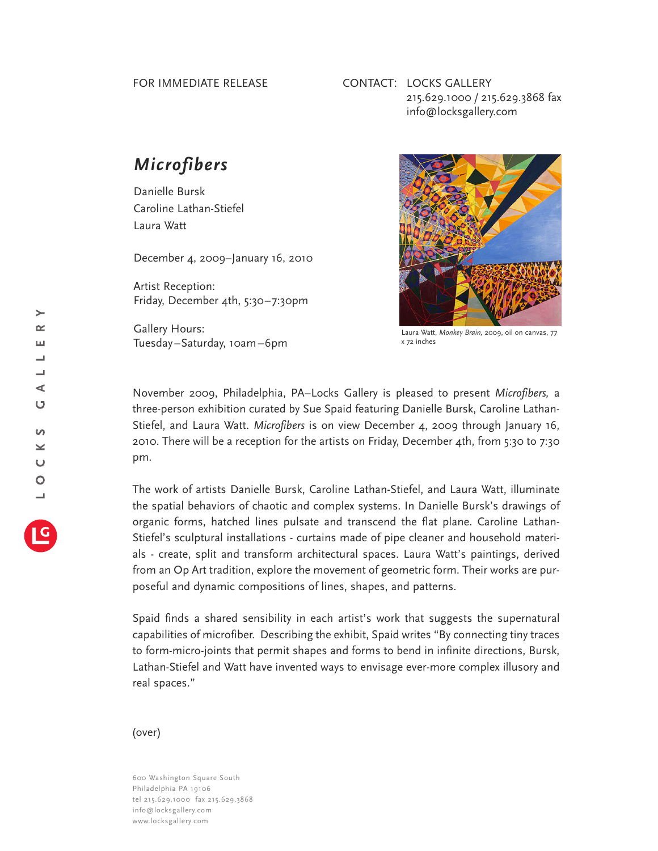## FOR IMMEDIATE RELEASE

## CONTACT: LOCKS GALLERY 215.629.1000 / 215.629.3868 fax info@locksgallery.com

## *Microfibers*

Danielle Bursk Caroline Lathan-Stiefel Laura Watt

December 4, 2009–January 16, 2010

Artist Reception: Friday, December 4th, 5:30–7:30pm

Gallery Hours: Tuesday–Saturday, 10am–6pm



Laura Watt, *Monkey Brain,* 2009, oil on canvas, 77 x 72 inches

November 2009, Philadelphia, PA–Locks Gallery is pleased to present *Microfibers,* a three-person exhibition curated by Sue Spaid featuring Danielle Bursk, Caroline Lathan-Stiefel, and Laura Watt. *Microfibers* is on view December 4, 2009 through January 16, 2010. There will be a reception for the artists on Friday, December 4th, from 5:30 to 7:30 pm.

The work of artists Danielle Bursk, Caroline Lathan-Stiefel, and Laura Watt, illuminate the spatial behaviors of chaotic and complex systems. In Danielle Bursk's drawings of organic forms, hatched lines pulsate and transcend the flat plane. Caroline Lathan-Stiefel's sculptural installations - curtains made of pipe cleaner and household materials - create, split and transform architectural spaces. Laura Watt's paintings, derived from an Op Art tradition, explore the movement of geometric form. Their works are purposeful and dynamic compositions of lines, shapes, and patterns.

Spaid finds a shared sensibility in each artist's work that suggests the supernatural capabilities of microfiber. Describing the exhibit, Spaid writes "By connecting tiny traces to form-micro-joints that permit shapes and forms to bend in infinite directions, Bursk, Lathan-Stiefel and Watt have invented ways to envisage ever-more complex illusory and real spaces."

## (over)

600 Washington Square South Philadelphia PA 19106 tel 215.629.1000 fax 215.629.3868 info@locksgallery.com www.locksgallery.com